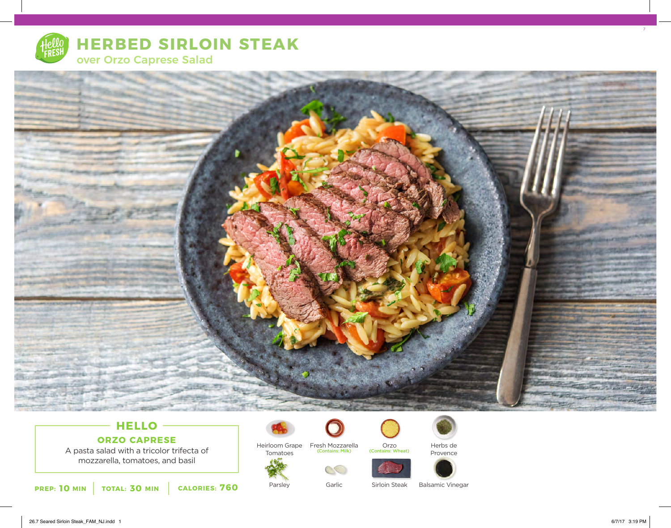

# **HERBED SIRLOIN STEAK**





# **HELLO ORZO CAPRESE**

A pasta salad with a tricolor trifecta of mozzarella, tomatoes, and basil

**10** MIN | TOTAL: 30 MIN | CALORIES: 760



Heirloom Grape Tomatoes Fresh Mozzarella (Contains: Milk) (Contains: Wheat)

Garlic

 $\mathbb{C}$ 



Orzo<br>(Contains: Wheat)





Sirloin Steak

Balsamic Vinegar

Herbs de Provence 7